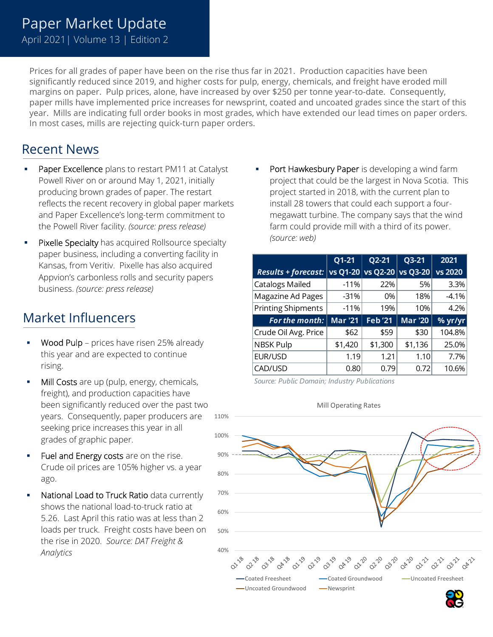## Paper Market Update

April 2021| Volume 13 | Edition 2

Prices for all grades of paper have been on the rise thus far in 2021. Production capacities have been significantly reduced since 2019, and higher costs for pulp, energy, chemicals, and freight have eroded mill margins on paper. Pulp prices, alone, have increased by over \$250 per tonne year-to-date. Consequently, paper mills have implemented price increases for newsprint, coated and uncoated grades since the start of this year. Mills are indicating full order books in most grades, which have extended our lead times on paper orders. In most cases, mills are rejecting quick-turn paper orders.

## Recent News

- Paper Excellence plans to restart PM11 at Catalyst Powell River on or around May 1, 2021, initially producing brown grades of paper. The restart reflects the recent recovery in global paper markets and Paper Excellence's long-term commitment to the Powell River facility. *(source: press release)*
- Pixelle Specialty has acquired Rollsource specialty paper business, including a converting facility in Kansas, from Veritiv. Pixelle has also acquired Appvion's carbonless rolls and security papers business. *(source: press release)*

## Market Influencers

- Wood Pulp prices have risen 25% already this year and are expected to continue rising.
- Mill Costs are up (pulp, energy, chemicals, freight), and production capacities have been significantly reduced over the past two years. Consequently, paper producers are seeking price increases this year in all grades of graphic paper.
- Fuel and Energy costs are on the rise. Crude oil prices are 105% higher vs. a year ago.
- National Load to Truck Ratio data currently shows the national load-to-truck ratio at 5.26. Last April this ratio was at less than 2 loads per truck. Freight costs have been on the rise in 2020. *Source: DAT Freight & Analytics*

Port Hawkesbury Paper is developing a wind farm project that could be the largest in Nova Scotia. This project started in 2018, with the current plan to install 28 towers that could each support a fourmegawatt turbine. The company says that the wind farm could provide mill with a third of its power. *(source: web)*

|                            | $Q1-21$        | Q2-21                      | Q3-21          | 2021    |
|----------------------------|----------------|----------------------------|----------------|---------|
| <b>Results + forecast:</b> |                | vs Q1-20 vs Q2-20 vs Q3-20 |                | vs 2020 |
| <b>Catalogs Mailed</b>     | $-11%$         | 22%                        | 5%             | 3.3%    |
| Magazine Ad Pages          | $-31%$         | 0%                         | 18%            | $-4.1%$ |
| <b>Printing Shipments</b>  | $-11%$         | 19%                        | 10%            | 4.2%    |
| For the month:             | <b>Mar '21</b> | <b>Feb</b> '21             | <b>Mar '20</b> | % yr/yr |
| Crude Oil Avg. Price       | \$62           | \$59                       | \$30           | 104.8%  |
| <b>NBSK Pulp</b>           | \$1,420        | \$1,300                    | \$1,136        | 25.0%   |
| EUR/USD                    | 1.19           | 1.21                       | 1.10           | 7.7%    |
| CAD/USD                    | 0.80           | 0.79                       | 0.72           | 10.6%   |

*Source: Public Domain; Industry Publications*



Mill Operating Rates